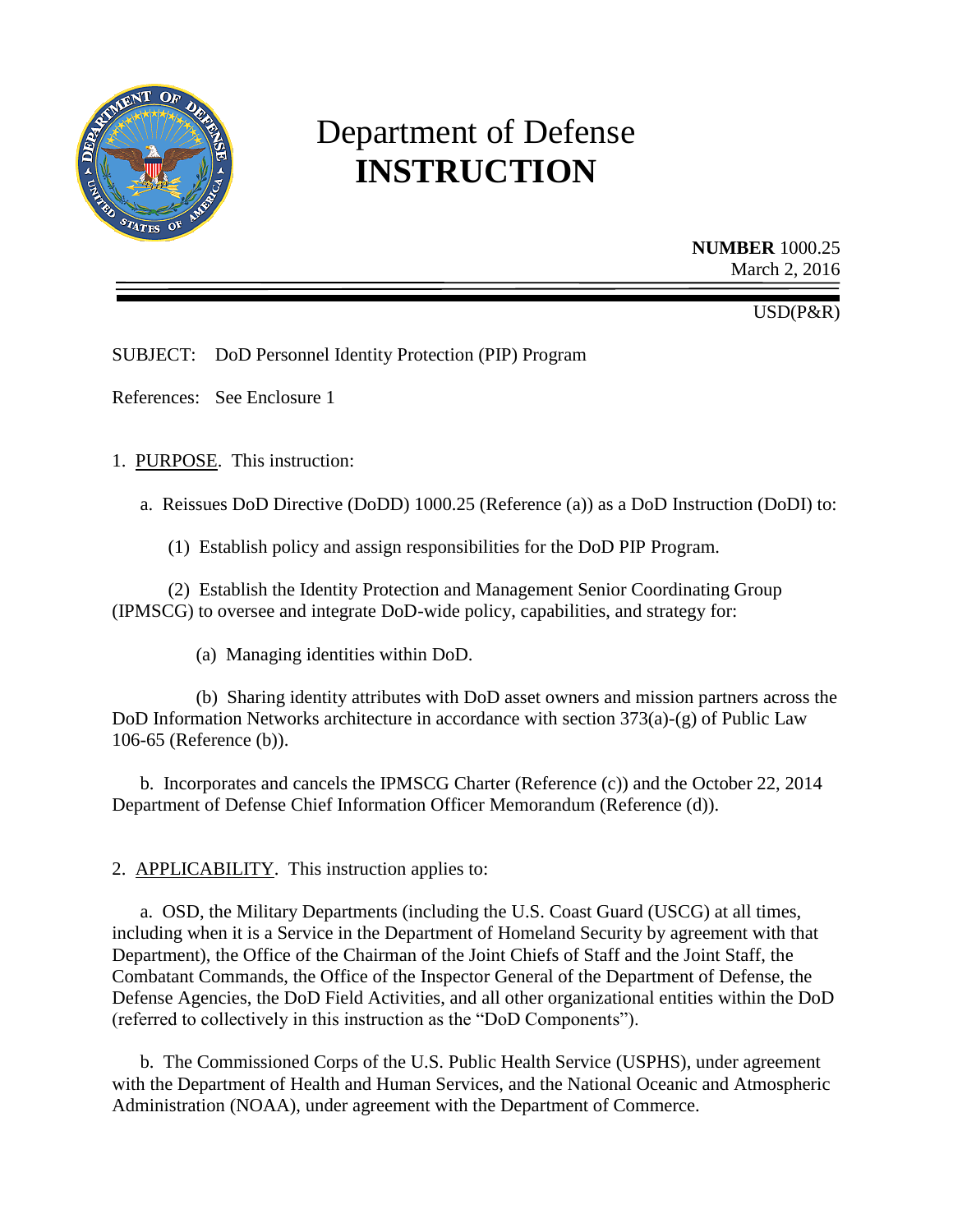

# Department of Defense **INSTRUCTION**

**NUMBER** 1000.25 March 2, 2016

USD(P&R)

SUBJECT: DoD Personnel Identity Protection (PIP) Program

References: See Enclosure 1

1. PURPOSE. This instruction:

a. Reissues DoD Directive (DoDD) 1000.25 (Reference (a)) as a DoD Instruction (DoDI) to:

(1) Establish policy and assign responsibilities for the DoD PIP Program.

(2) Establish the Identity Protection and Management Senior Coordinating Group (IPMSCG) to oversee and integrate DoD-wide policy, capabilities, and strategy for:

(a) Managing identities within DoD.

(b) Sharing identity attributes with DoD asset owners and mission partners across the DoD Information Networks architecture in accordance with section 373(a)-(g) of Public Law 106-65 (Reference (b)).

b. Incorporates and cancels the IPMSCG Charter (Reference (c)) and the October 22, 2014 Department of Defense Chief Information Officer Memorandum (Reference (d)).

2. APPLICABILITY. This instruction applies to:

a. OSD, the Military Departments (including the U.S. Coast Guard (USCG) at all times, including when it is a Service in the Department of Homeland Security by agreement with that Department), the Office of the Chairman of the Joint Chiefs of Staff and the Joint Staff, the Combatant Commands, the Office of the Inspector General of the Department of Defense, the Defense Agencies, the DoD Field Activities, and all other organizational entities within the DoD (referred to collectively in this instruction as the "DoD Components").

b. The Commissioned Corps of the U.S. Public Health Service (USPHS), under agreement with the Department of Health and Human Services, and the National Oceanic and Atmospheric Administration (NOAA), under agreement with the Department of Commerce.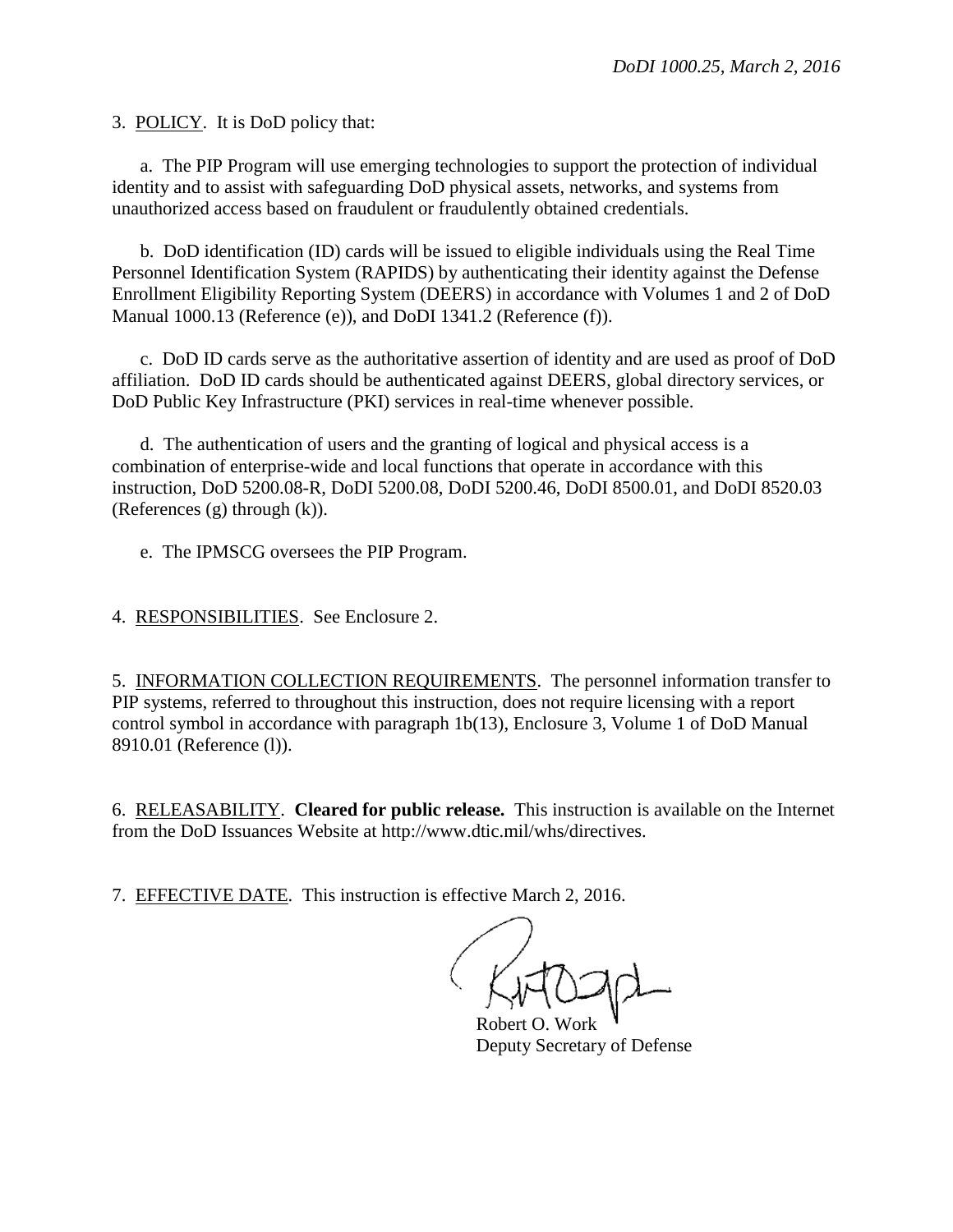3. POLICY. It is DoD policy that:

a. The PIP Program will use emerging technologies to support the protection of individual identity and to assist with safeguarding DoD physical assets, networks, and systems from unauthorized access based on fraudulent or fraudulently obtained credentials.

b. DoD identification (ID) cards will be issued to eligible individuals using the Real Time Personnel Identification System (RAPIDS) by authenticating their identity against the Defense Enrollment Eligibility Reporting System (DEERS) in accordance with Volumes 1 and 2 of DoD Manual 1000.13 (Reference (e)), and DoDI 1341.2 (Reference (f)).

c. DoD ID cards serve as the authoritative assertion of identity and are used as proof of DoD affiliation. DoD ID cards should be authenticated against DEERS, global directory services, or DoD Public Key Infrastructure (PKI) services in real-time whenever possible.

d. The authentication of users and the granting of logical and physical access is a combination of enterprise-wide and local functions that operate in accordance with this instruction, DoD 5200.08-R, DoDI 5200.08, DoDI 5200.46, DoDI 8500.01, and DoDI 8520.03 (References (g) through (k)).

e. The IPMSCG oversees the PIP Program.

4. RESPONSIBILITIES. See Enclosure 2.

5. INFORMATION COLLECTION REQUIREMENTS. The personnel information transfer to PIP systems, referred to throughout this instruction, does not require licensing with a report control symbol in accordance with paragraph 1b(13), Enclosure 3, Volume 1 of DoD Manual 8910.01 (Reference (l)).

6. RELEASABILITY. **Cleared for public release.** This instruction is available on the Internet from the DoD Issuances Website at http://www.dtic.mil/whs/directives.

7. EFFECTIVE DATE. This instruction is effective March 2, 2016.

Robert O. Work Deputy Secretary of Defense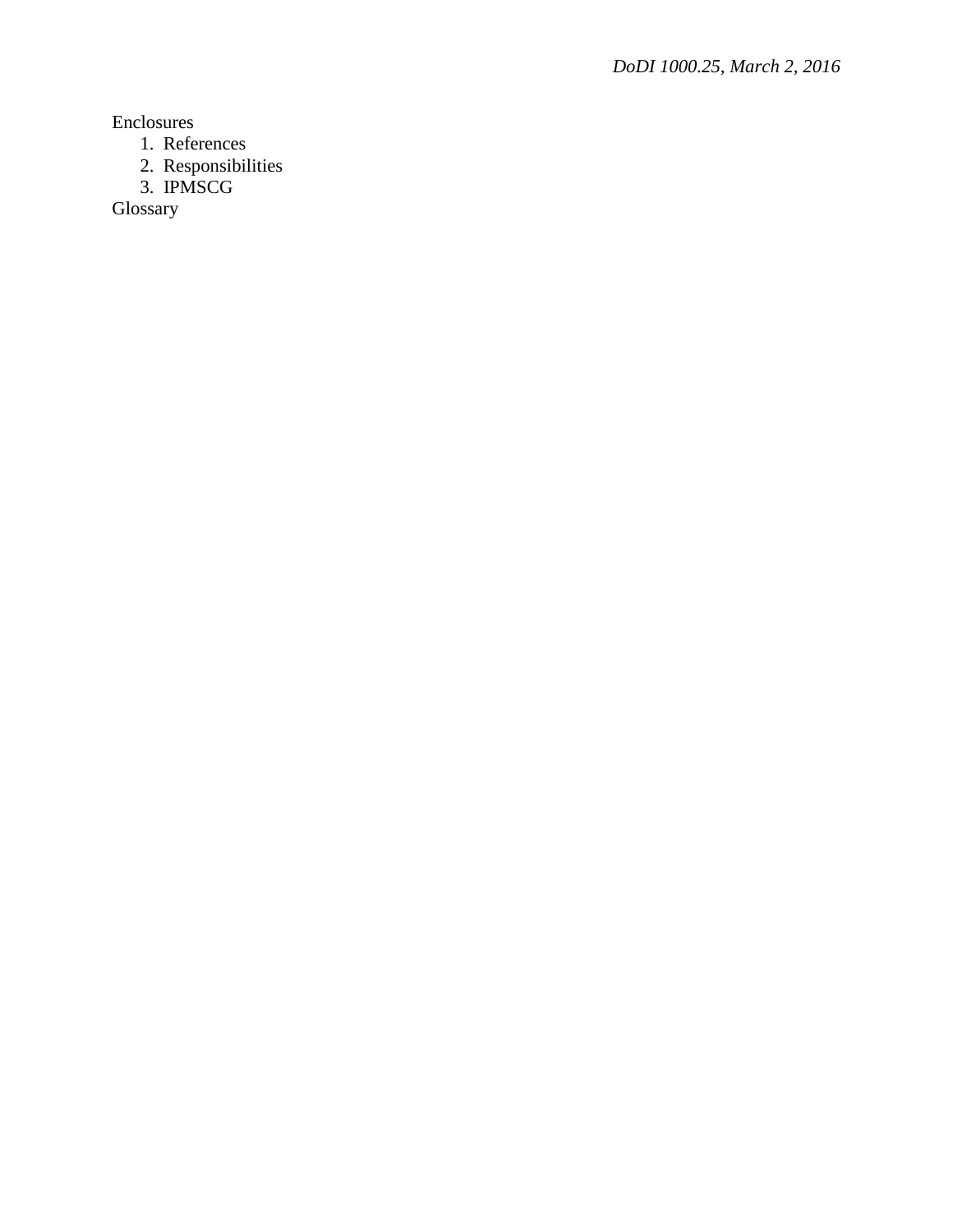Enclosures

- 1. References
- 2. Responsibilities
- 3. IPMSCG

Glossary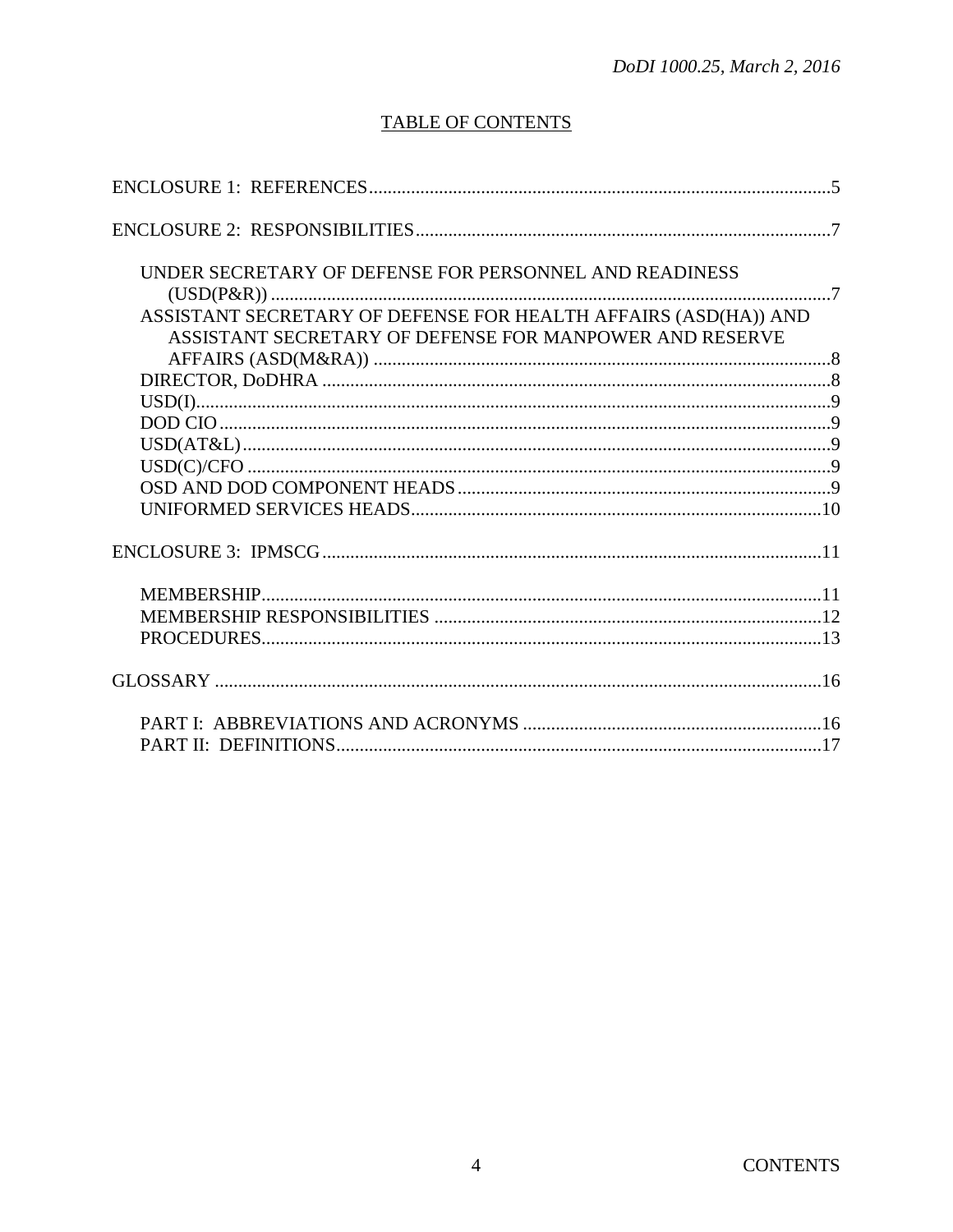# **TABLE OF CONTENTS**

| UNDER SECRETARY OF DEFENSE FOR PERSONNEL AND READINESS          |  |
|-----------------------------------------------------------------|--|
|                                                                 |  |
| ASSISTANT SECRETARY OF DEFENSE FOR HEALTH AFFAIRS (ASD(HA)) AND |  |
| ASSISTANT SECRETARY OF DEFENSE FOR MANPOWER AND RESERVE         |  |
|                                                                 |  |
|                                                                 |  |
|                                                                 |  |
|                                                                 |  |
|                                                                 |  |
|                                                                 |  |
|                                                                 |  |
|                                                                 |  |
|                                                                 |  |
|                                                                 |  |
|                                                                 |  |
|                                                                 |  |
|                                                                 |  |
|                                                                 |  |
|                                                                 |  |
|                                                                 |  |
|                                                                 |  |
|                                                                 |  |
|                                                                 |  |
|                                                                 |  |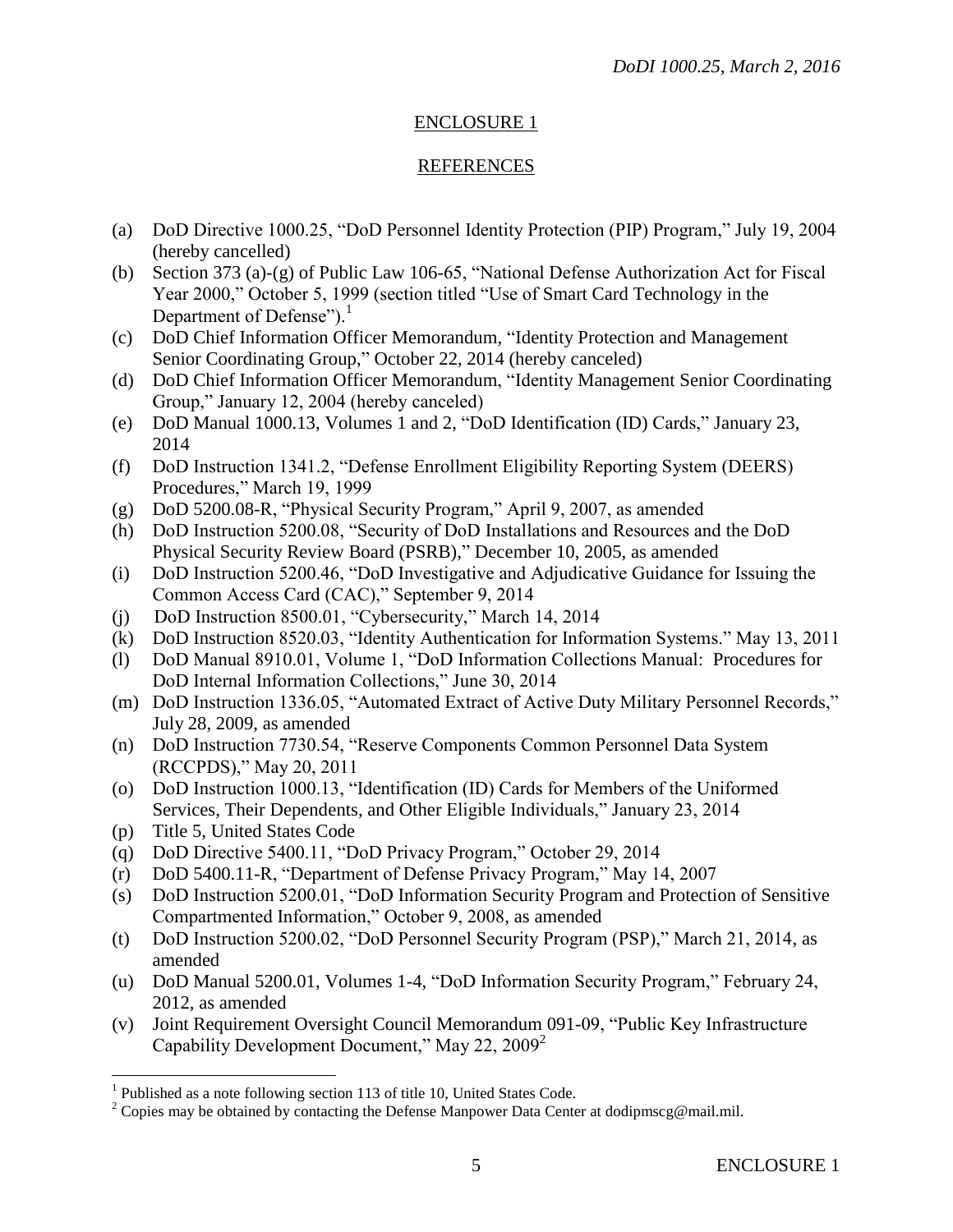# ENCLOSURE 1

#### REFERENCES

- (a) DoD Directive 1000.25, "DoD Personnel Identity Protection (PIP) Program," July 19, 2004 (hereby cancelled)
- (b) Section 373 (a)-(g) of Public Law 106-65, "National Defense Authorization Act for Fiscal Year 2000," October 5, 1999 (section titled "Use of Smart Card Technology in the Department of Defense"). $<sup>1</sup>$ </sup>
- (c) DoD Chief Information Officer Memorandum, "Identity Protection and Management Senior Coordinating Group," October 22, 2014 (hereby canceled)
- (d) DoD Chief Information Officer Memorandum, "Identity Management Senior Coordinating Group," January 12, 2004 (hereby canceled)
- (e) DoD Manual 1000.13, Volumes 1 and 2, "DoD Identification (ID) Cards," January 23, 2014
- (f) DoD Instruction 1341.2, "Defense Enrollment Eligibility Reporting System (DEERS) Procedures," March 19, 1999
- (g) DoD 5200.08-R, "Physical Security Program," April 9, 2007, as amended
- (h) DoD Instruction 5200.08, "Security of DoD Installations and Resources and the DoD Physical Security Review Board (PSRB)," December 10, 2005, as amended
- (i) DoD Instruction 5200.46, "DoD Investigative and Adjudicative Guidance for Issuing the Common Access Card (CAC)," September 9, 2014
- (j) DoD Instruction 8500.01, "Cybersecurity," March 14, 2014
- (k) DoD Instruction 8520.03, "Identity Authentication for Information Systems." May 13, 2011
- (l) DoD Manual 8910.01, Volume 1, "DoD Information Collections Manual: Procedures for DoD Internal Information Collections," June 30, 2014
- (m) DoD Instruction 1336.05, "Automated Extract of Active Duty Military Personnel Records," July 28, 2009, as amended
- (n) DoD Instruction 7730.54, "Reserve Components Common Personnel Data System (RCCPDS)," May 20, 2011
- (o) DoD Instruction 1000.13, "Identification (ID) Cards for Members of the Uniformed Services, Their Dependents, and Other Eligible Individuals," January 23, 2014
- (p) Title 5, United States Code

 $\overline{a}$ 

- (q) DoD Directive 5400.11, "DoD Privacy Program," October 29, 2014
- (r) DoD 5400.11-R, "Department of Defense Privacy Program," May 14, 2007
- (s) DoD Instruction 5200.01, "DoD Information Security Program and Protection of Sensitive Compartmented Information," October 9, 2008, as amended
- (t) DoD Instruction 5200.02, "DoD Personnel Security Program (PSP)," March 21, 2014, as amended
- (u) DoD Manual 5200.01, Volumes 1-4, "DoD Information Security Program," February 24, 2012, as amended
- (v) Joint Requirement Oversight Council Memorandum 091-09, "Public Key Infrastructure Capability Development Document," May 22, 2009<sup>2</sup>

<sup>&</sup>lt;sup>1</sup> Published as a note following section 113 of title 10, United States Code.

<sup>&</sup>lt;sup>2</sup> Copies may be obtained by contacting the Defense Manpower Data Center at dodipmscg@mail.mil.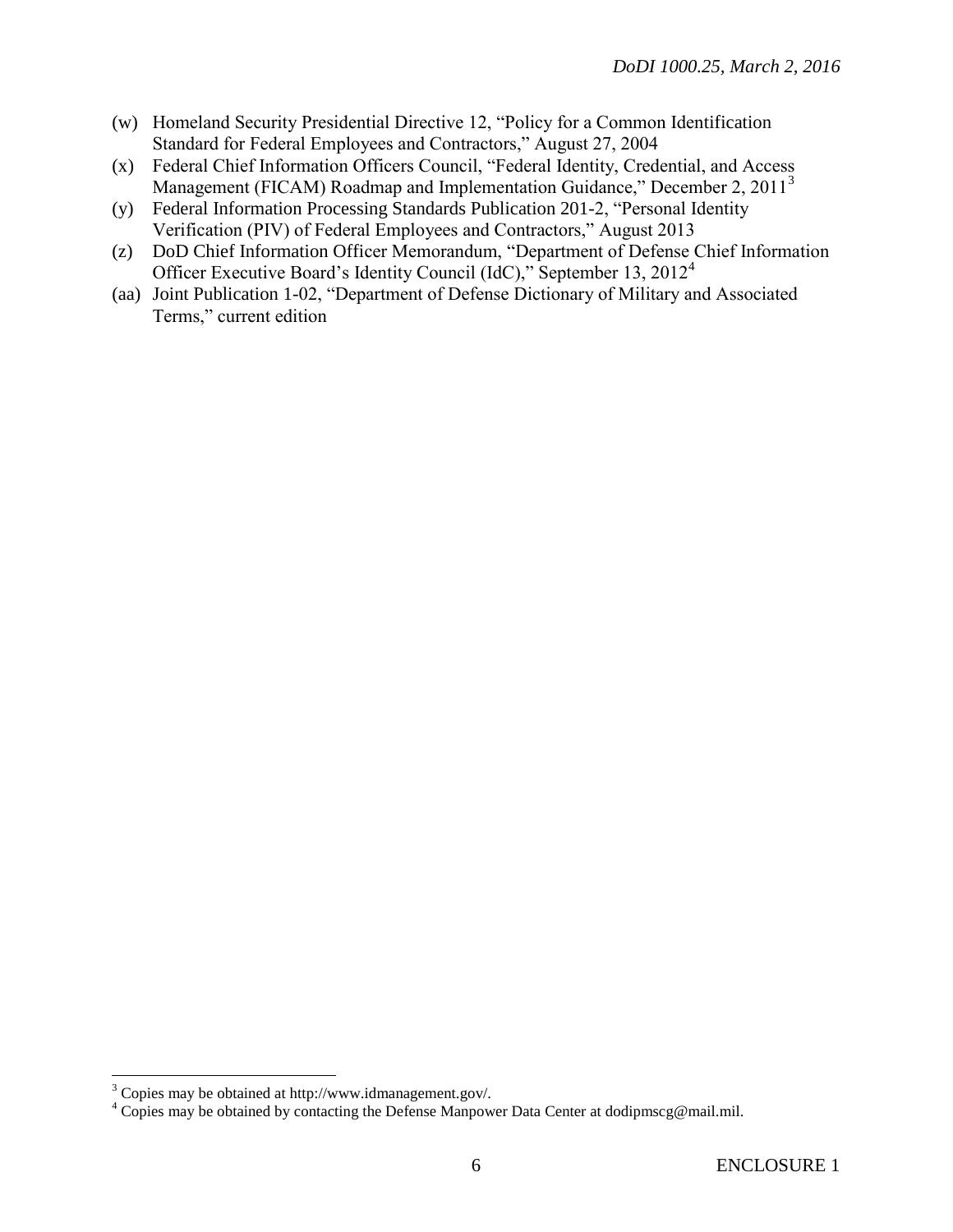- (w) Homeland Security Presidential Directive 12, "Policy for a Common Identification Standard for Federal Employees and Contractors," August 27, 2004
- (x) Federal Chief Information Officers Council, "Federal Identity, Credential, and Access Management (FICAM) Roadmap and Implementation Guidance," December 2, 2011<sup>3</sup>
- (y) Federal Information Processing Standards Publication 201-2, "Personal Identity Verification (PIV) of Federal Employees and Contractors," August 2013
- (z) DoD Chief Information Officer Memorandum, "Department of Defense Chief Information Officer Executive Board's Identity Council (IdC)," September 13, 2012<sup>4</sup>
- (aa) Joint Publication 1-02, "Department of Defense Dictionary of Military and Associated Terms," current edition

 $\overline{a}$ 

 $3$  Copies may be obtained at http://www.idmanagement.gov/.

<sup>&</sup>lt;sup>4</sup> Copies may be obtained by contacting the Defense Manpower Data Center at dodipmscg@mail.mil.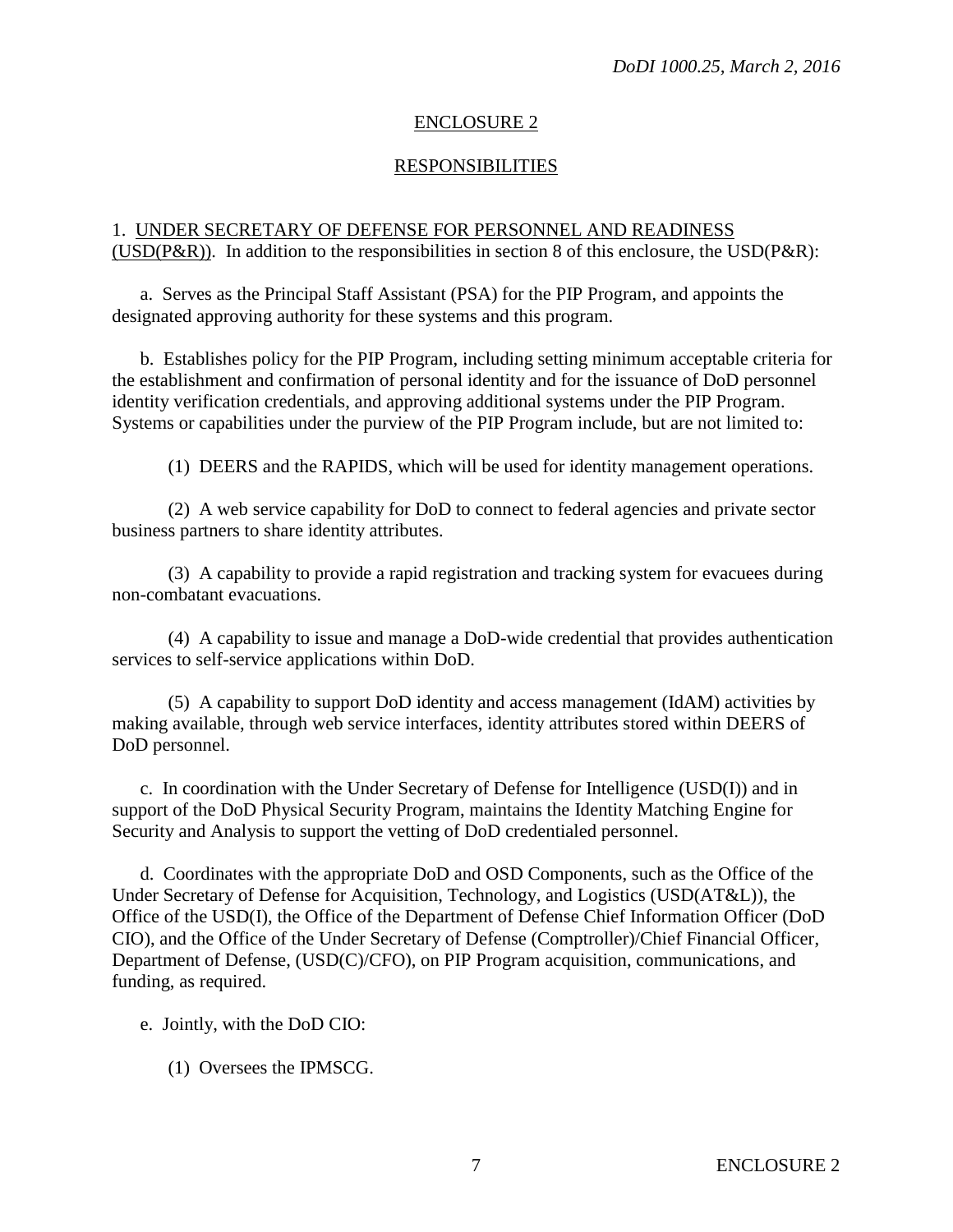# ENCLOSURE 2

# RESPONSIBILITIES

#### 1. UNDER SECRETARY OF DEFENSE FOR PERSONNEL AND READINESS (USD( $P\&R$ )). In addition to the responsibilities in section 8 of this enclosure, the USD( $P\&R$ ):

a. Serves as the Principal Staff Assistant (PSA) for the PIP Program, and appoints the designated approving authority for these systems and this program.

b. Establishes policy for the PIP Program, including setting minimum acceptable criteria for the establishment and confirmation of personal identity and for the issuance of DoD personnel identity verification credentials, and approving additional systems under the PIP Program. Systems or capabilities under the purview of the PIP Program include, but are not limited to:

(1) DEERS and the RAPIDS, which will be used for identity management operations.

(2) A web service capability for DoD to connect to federal agencies and private sector business partners to share identity attributes.

(3) A capability to provide a rapid registration and tracking system for evacuees during non-combatant evacuations.

(4) A capability to issue and manage a DoD-wide credential that provides authentication services to self-service applications within DoD.

(5) A capability to support DoD identity and access management (IdAM) activities by making available, through web service interfaces, identity attributes stored within DEERS of DoD personnel.

c. In coordination with the Under Secretary of Defense for Intelligence (USD(I)) and in support of the DoD Physical Security Program, maintains the Identity Matching Engine for Security and Analysis to support the vetting of DoD credentialed personnel.

d. Coordinates with the appropriate DoD and OSD Components, such as the Office of the Under Secretary of Defense for Acquisition, Technology, and Logistics (USD(AT&L)), the Office of the USD(I), the Office of the Department of Defense Chief Information Officer (DoD CIO), and the Office of the Under Secretary of Defense (Comptroller)/Chief Financial Officer, Department of Defense, (USD(C)/CFO), on PIP Program acquisition, communications, and funding, as required.

e. Jointly, with the DoD CIO:

(1) Oversees the IPMSCG.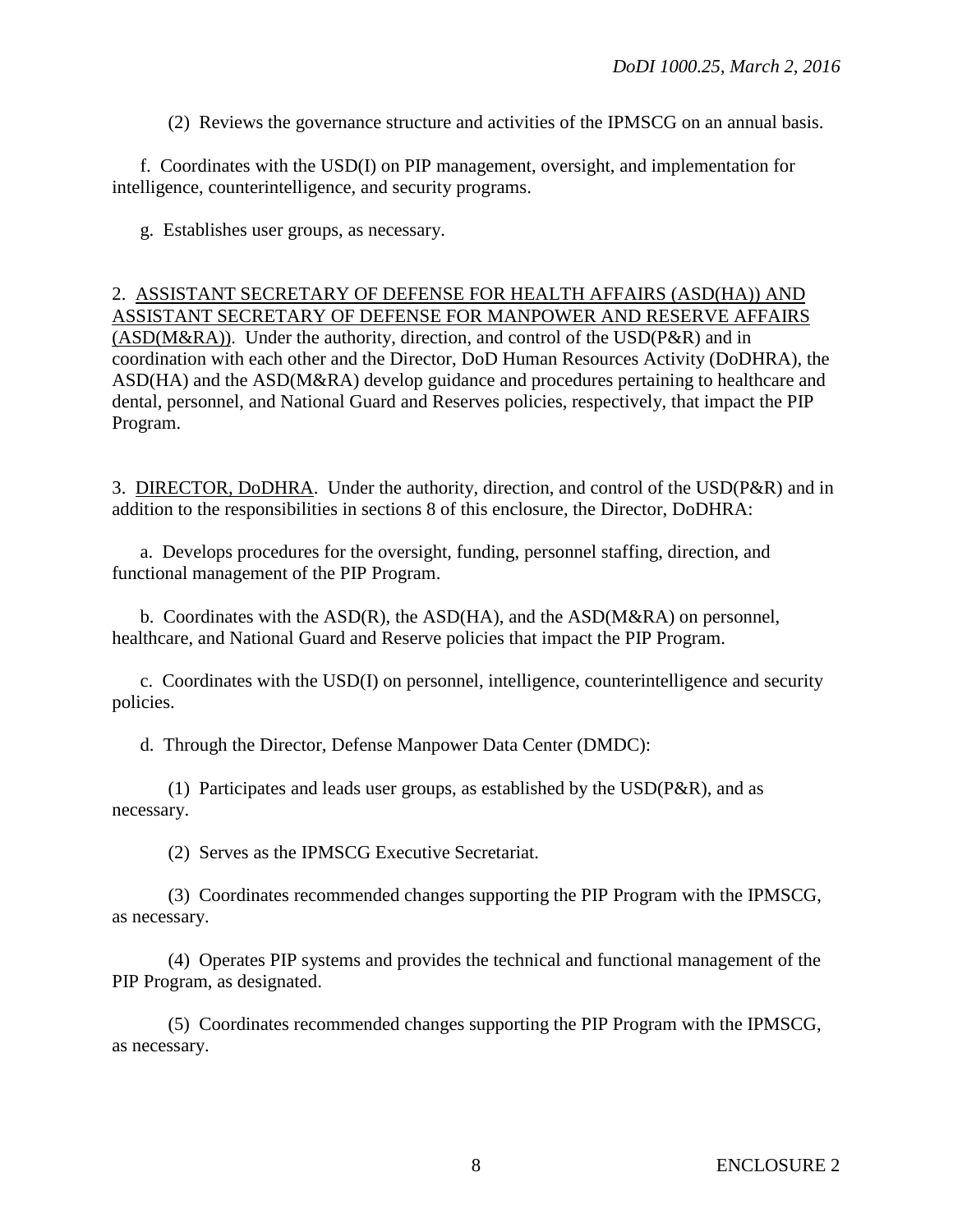(2) Reviews the governance structure and activities of the IPMSCG on an annual basis.

f. Coordinates with the USD(I) on PIP management, oversight, and implementation for intelligence, counterintelligence, and security programs.

g. Establishes user groups, as necessary.

# 2. ASSISTANT SECRETARY OF DEFENSE FOR HEALTH AFFAIRS (ASD(HA)) AND ASSISTANT SECRETARY OF DEFENSE FOR MANPOWER AND RESERVE AFFAIRS  $(ASD(M&RA))$ . Under the authority, direction, and control of the USD(P&R) and in coordination with each other and the Director, DoD Human Resources Activity (DoDHRA), the ASD(HA) and the ASD(M&RA) develop guidance and procedures pertaining to healthcare and dental, personnel, and National Guard and Reserves policies, respectively, that impact the PIP Program.

3. DIRECTOR, DoDHRA. Under the authority, direction, and control of the USD(P&R) and in addition to the responsibilities in sections 8 of this enclosure, the Director, DoDHRA:

a. Develops procedures for the oversight, funding, personnel staffing, direction, and functional management of the PIP Program.

b. Coordinates with the ASD(R), the ASD(HA), and the ASD(M&RA) on personnel, healthcare, and National Guard and Reserve policies that impact the PIP Program.

c. Coordinates with the USD(I) on personnel, intelligence, counterintelligence and security policies.

d. Through the Director, Defense Manpower Data Center (DMDC):

(1) Participates and leads user groups, as established by the USD(P&R), and as necessary.

(2) Serves as the IPMSCG Executive Secretariat.

(3) Coordinates recommended changes supporting the PIP Program with the IPMSCG, as necessary.

(4) Operates PIP systems and provides the technical and functional management of the PIP Program, as designated.

(5) Coordinates recommended changes supporting the PIP Program with the IPMSCG, as necessary.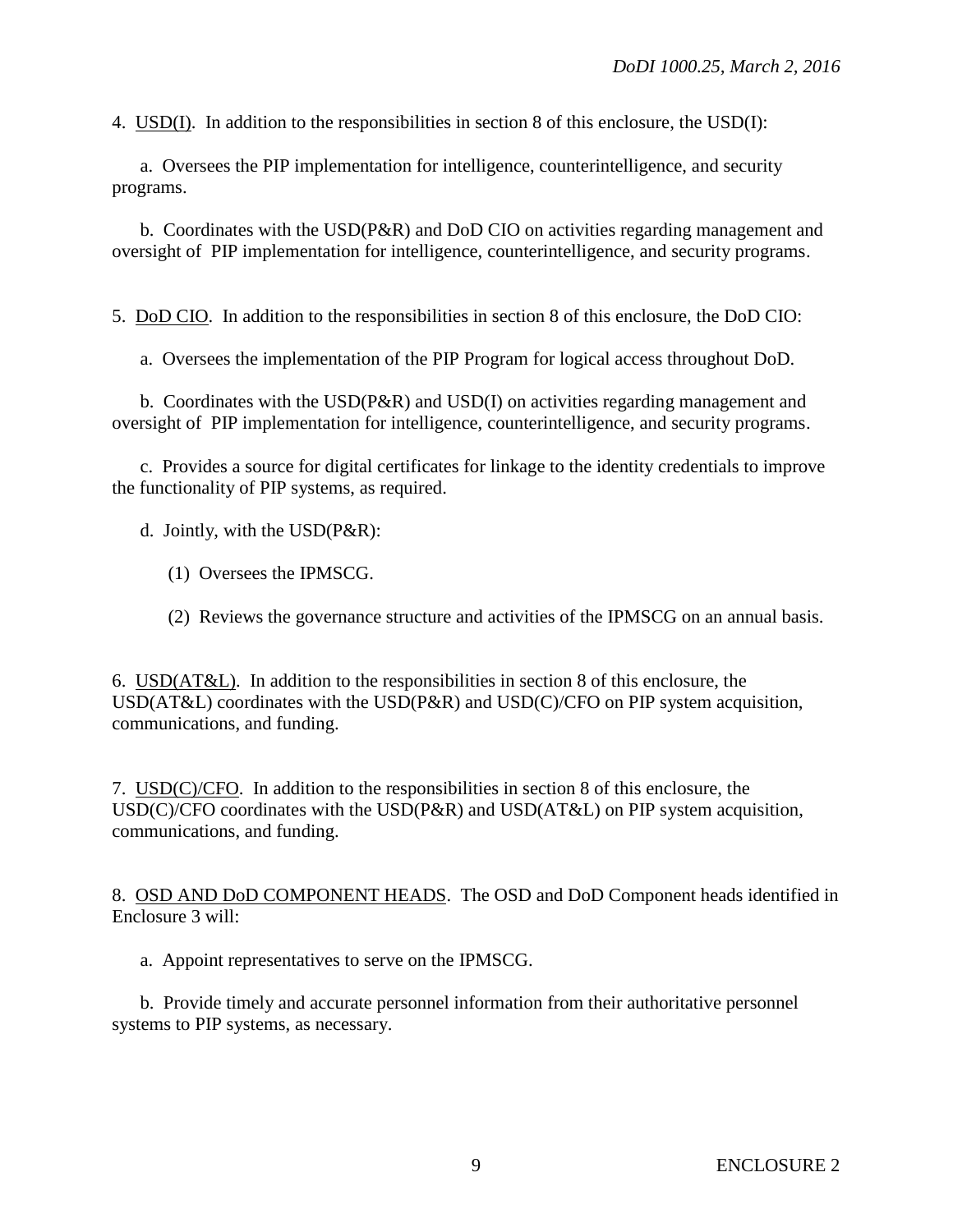4. USD(I). In addition to the responsibilities in section 8 of this enclosure, the USD(I):

a. Oversees the PIP implementation for intelligence, counterintelligence, and security programs.

b. Coordinates with the USD(P&R) and DoD CIO on activities regarding management and oversight of PIP implementation for intelligence, counterintelligence, and security programs.

5. DoD CIO. In addition to the responsibilities in section 8 of this enclosure, the DoD CIO:

a. Oversees the implementation of the PIP Program for logical access throughout DoD.

b. Coordinates with the USD(P&R) and USD(I) on activities regarding management and oversight of PIP implementation for intelligence, counterintelligence, and security programs.

c. Provides a source for digital certificates for linkage to the identity credentials to improve the functionality of PIP systems, as required.

d. Jointly, with the USD(P&R):

- (1) Oversees the IPMSCG.
- (2) Reviews the governance structure and activities of the IPMSCG on an annual basis.

6. USD(AT&L). In addition to the responsibilities in section 8 of this enclosure, the USD(AT&L) coordinates with the USD(P&R) and USD(C)/CFO on PIP system acquisition, communications, and funding.

7. USD(C)/CFO. In addition to the responsibilities in section 8 of this enclosure, the USD(C)/CFO coordinates with the USD(P&R) and USD(AT&L) on PIP system acquisition, communications, and funding.

8. OSD AND DoD COMPONENT HEADS. The OSD and DoD Component heads identified in Enclosure 3 will:

a. Appoint representatives to serve on the IPMSCG.

b. Provide timely and accurate personnel information from their authoritative personnel systems to PIP systems, as necessary.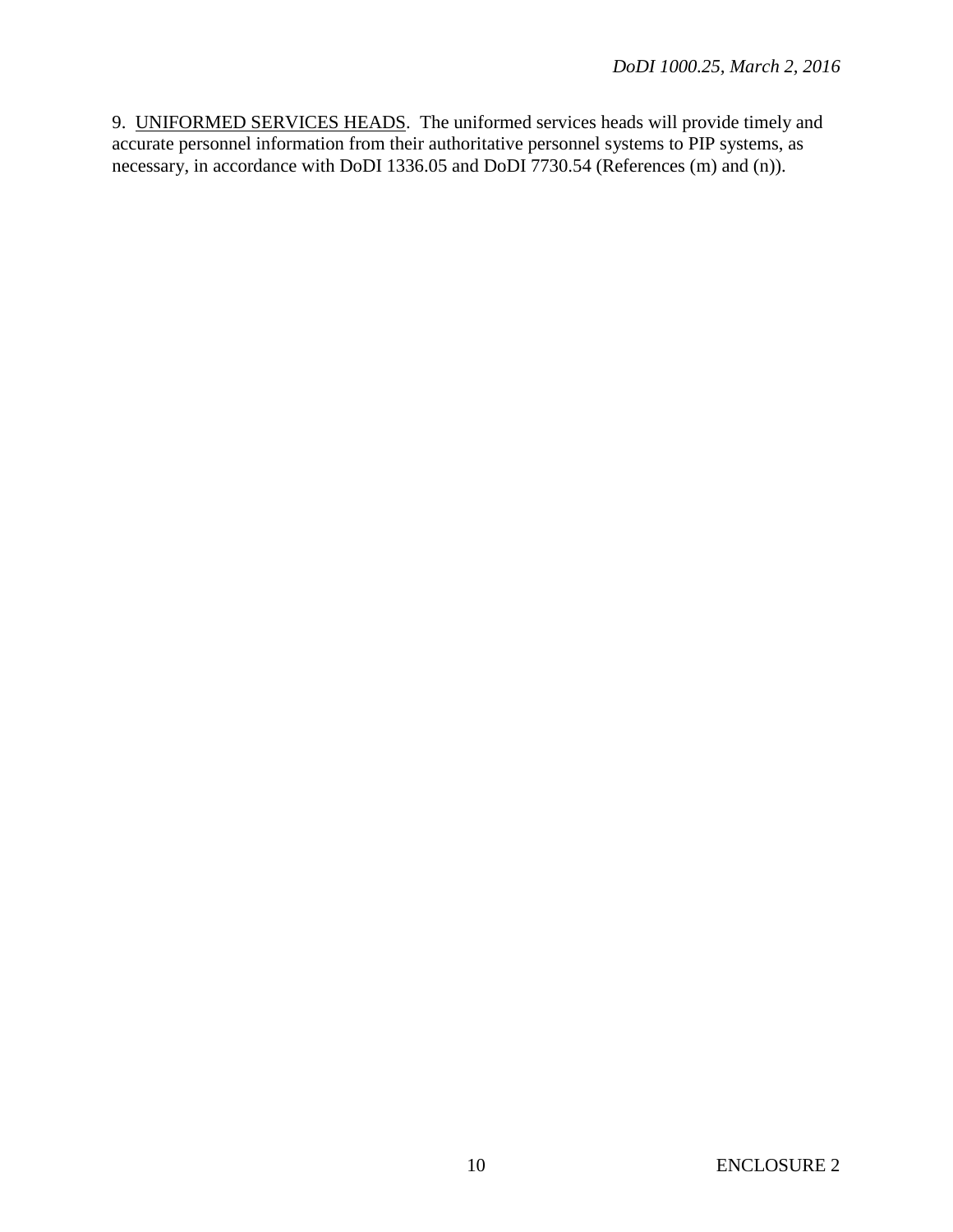9. UNIFORMED SERVICES HEADS. The uniformed services heads will provide timely and accurate personnel information from their authoritative personnel systems to PIP systems, as necessary, in accordance with DoDI 1336.05 and DoDI 7730.54 (References (m) and (n)).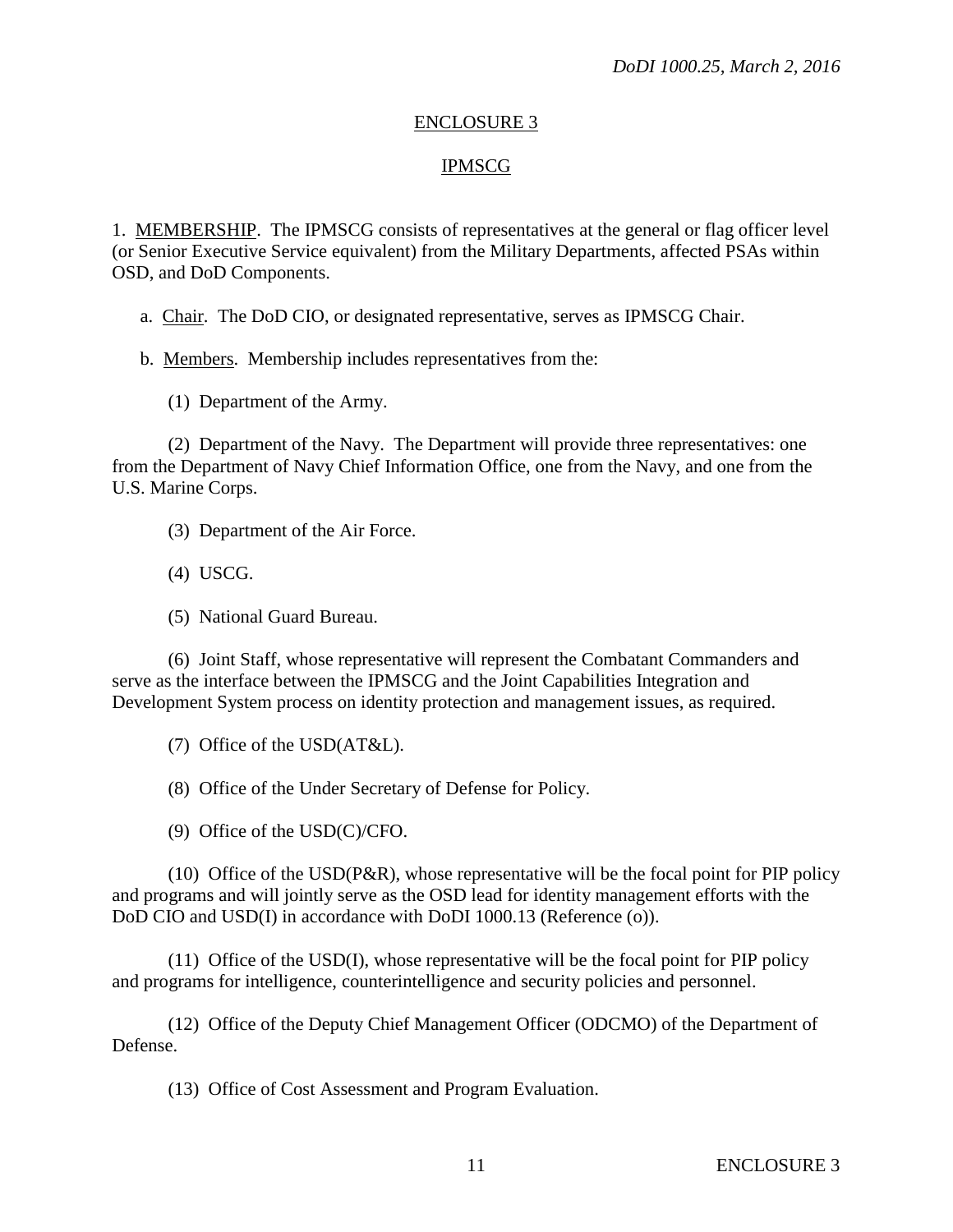#### ENCLOSURE 3

# IPMSCG

1. MEMBERSHIP. The IPMSCG consists of representatives at the general or flag officer level (or Senior Executive Service equivalent) from the Military Departments, affected PSAs within OSD, and DoD Components.

a. Chair. The DoD CIO, or designated representative, serves as IPMSCG Chair.

b. Members. Membership includes representatives from the:

(1) Department of the Army.

(2) Department of the Navy. The Department will provide three representatives: one from the Department of Navy Chief Information Office, one from the Navy, and one from the U.S. Marine Corps.

(3) Department of the Air Force.

(4) USCG.

(5) National Guard Bureau.

(6) Joint Staff, whose representative will represent the Combatant Commanders and serve as the interface between the IPMSCG and the Joint Capabilities Integration and Development System process on identity protection and management issues, as required.

(7) Office of the USD(AT&L).

(8) Office of the Under Secretary of Defense for Policy.

(9) Office of the USD(C)/CFO.

(10) Office of the USD(P&R), whose representative will be the focal point for PIP policy and programs and will jointly serve as the OSD lead for identity management efforts with the DoD CIO and USD(I) in accordance with DoDI 1000.13 (Reference (o)).

(11) Office of the USD(I), whose representative will be the focal point for PIP policy and programs for intelligence, counterintelligence and security policies and personnel.

(12) Office of the Deputy Chief Management Officer (ODCMO) of the Department of Defense.

(13) Office of Cost Assessment and Program Evaluation.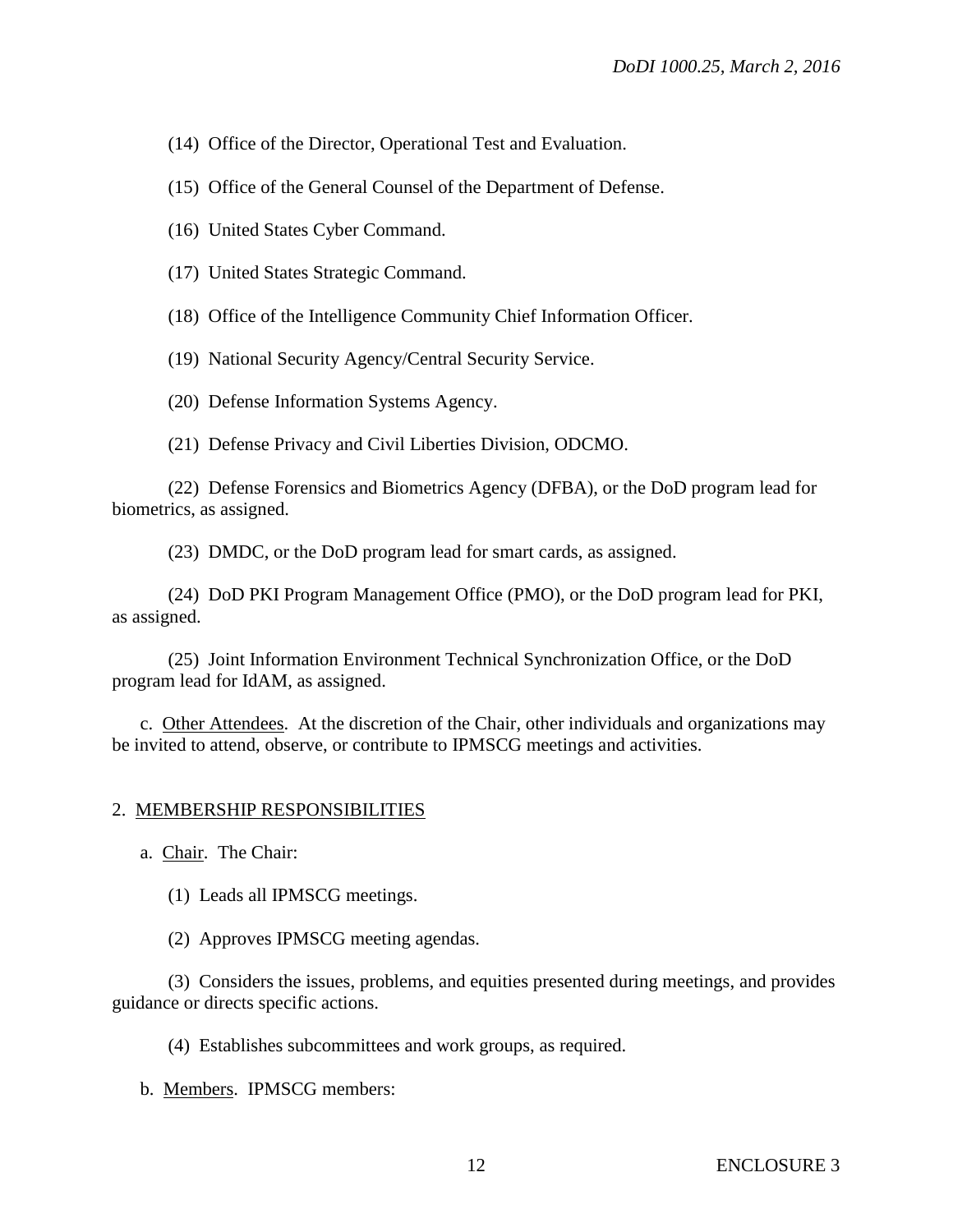(14) Office of the Director, Operational Test and Evaluation.

(15) Office of the General Counsel of the Department of Defense.

(16) United States Cyber Command.

(17) United States Strategic Command.

(18) Office of the Intelligence Community Chief Information Officer.

(19) National Security Agency/Central Security Service.

(20) Defense Information Systems Agency.

(21) Defense Privacy and Civil Liberties Division, ODCMO.

(22) Defense Forensics and Biometrics Agency (DFBA), or the DoD program lead for biometrics, as assigned.

(23) DMDC, or the DoD program lead for smart cards, as assigned.

(24) DoD PKI Program Management Office (PMO), or the DoD program lead for PKI, as assigned.

(25) Joint Information Environment Technical Synchronization Office, or the DoD program lead for IdAM, as assigned.

c. Other Attendees. At the discretion of the Chair, other individuals and organizations may be invited to attend, observe, or contribute to IPMSCG meetings and activities.

# 2. MEMBERSHIP RESPONSIBILITIES

a. Chair. The Chair:

(1) Leads all IPMSCG meetings.

(2) Approves IPMSCG meeting agendas.

(3) Considers the issues, problems, and equities presented during meetings, and provides guidance or directs specific actions.

(4) Establishes subcommittees and work groups, as required.

b. Members. IPMSCG members: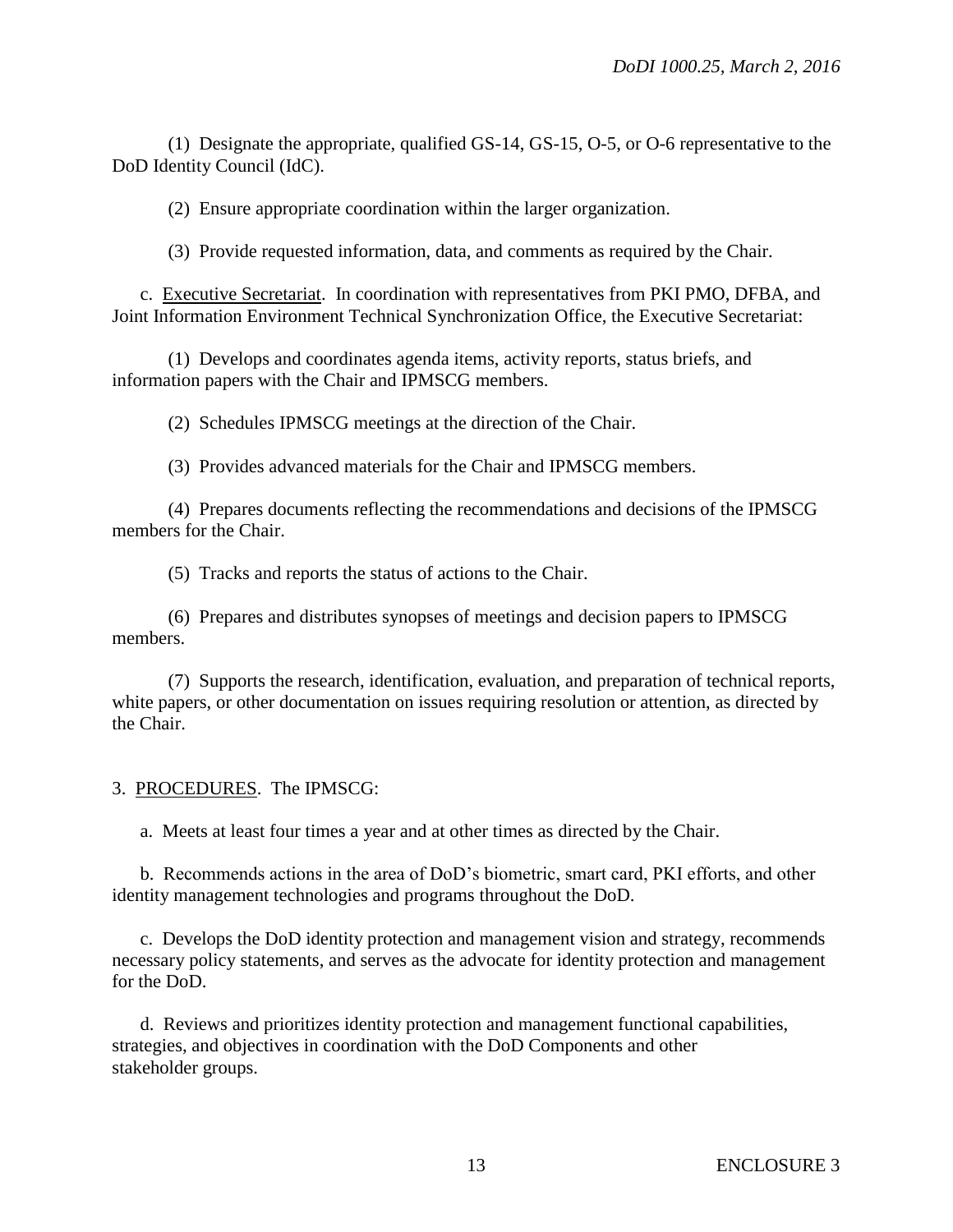(1) Designate the appropriate, qualified GS-14, GS-15, O-5, or O-6 representative to the DoD Identity Council (IdC).

(2) Ensure appropriate coordination within the larger organization.

(3) Provide requested information, data, and comments as required by the Chair.

c. Executive Secretariat. In coordination with representatives from PKI PMO, DFBA, and Joint Information Environment Technical Synchronization Office, the Executive Secretariat:

(1) Develops and coordinates agenda items, activity reports, status briefs, and information papers with the Chair and IPMSCG members.

(2) Schedules IPMSCG meetings at the direction of the Chair.

(3) Provides advanced materials for the Chair and IPMSCG members.

(4) Prepares documents reflecting the recommendations and decisions of the IPMSCG members for the Chair.

(5) Tracks and reports the status of actions to the Chair.

(6) Prepares and distributes synopses of meetings and decision papers to IPMSCG members.

(7) Supports the research, identification, evaluation, and preparation of technical reports, white papers, or other documentation on issues requiring resolution or attention, as directed by the Chair.

# 3. PROCEDURES. The IPMSCG:

a. Meets at least four times a year and at other times as directed by the Chair.

b. Recommends actions in the area of DoD's biometric, smart card, PKI efforts, and other identity management technologies and programs throughout the DoD.

c. Develops the DoD identity protection and management vision and strategy, recommends necessary policy statements, and serves as the advocate for identity protection and management for the DoD.

d. Reviews and prioritizes identity protection and management functional capabilities, strategies, and objectives in coordination with the DoD Components and other stakeholder groups.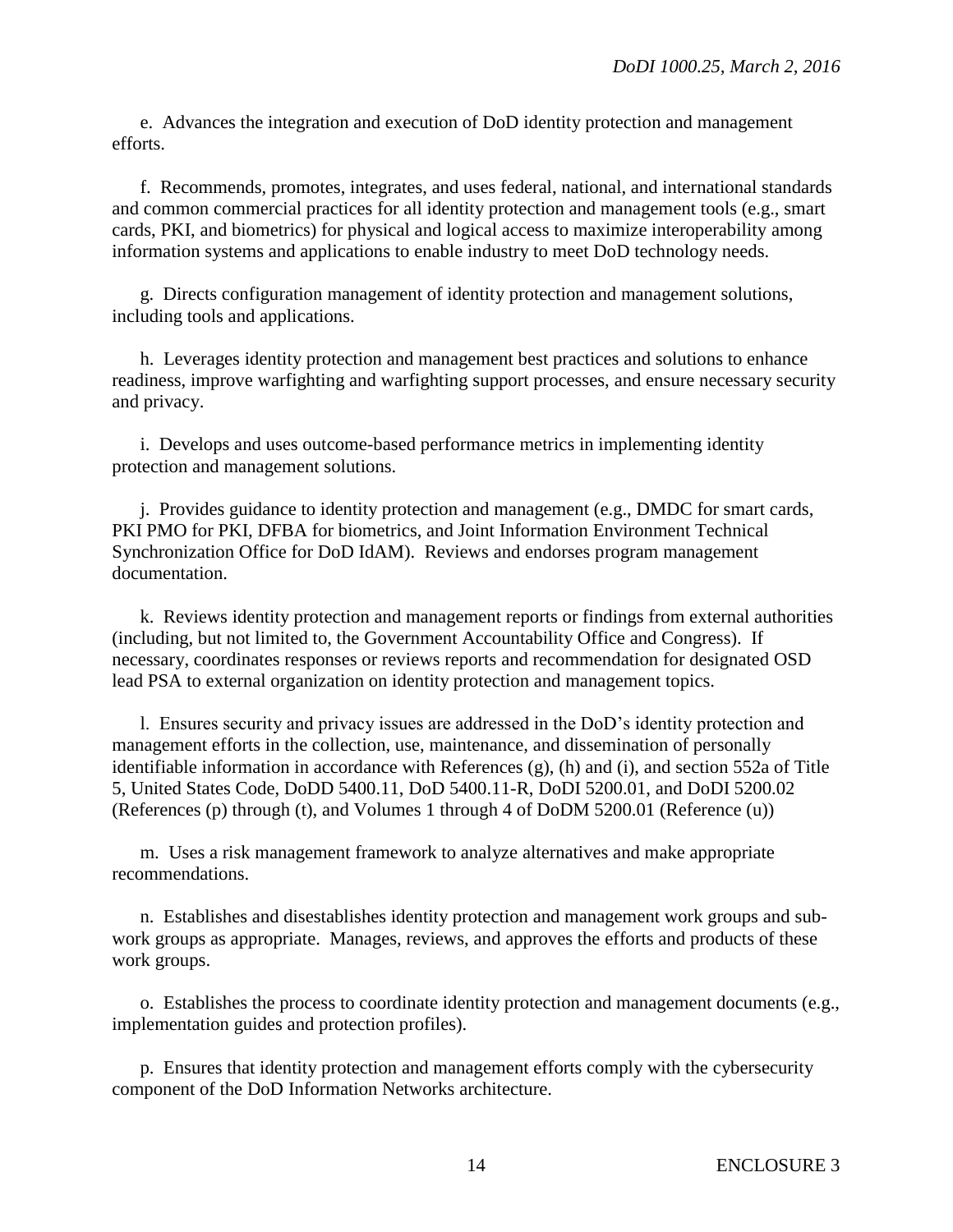e. Advances the integration and execution of DoD identity protection and management efforts.

f. Recommends, promotes, integrates, and uses federal, national, and international standards and common commercial practices for all identity protection and management tools (e.g., smart cards, PKI, and biometrics) for physical and logical access to maximize interoperability among information systems and applications to enable industry to meet DoD technology needs.

g. Directs configuration management of identity protection and management solutions, including tools and applications.

h. Leverages identity protection and management best practices and solutions to enhance readiness, improve warfighting and warfighting support processes, and ensure necessary security and privacy.

i. Develops and uses outcome-based performance metrics in implementing identity protection and management solutions.

j. Provides guidance to identity protection and management (e.g., DMDC for smart cards, PKI PMO for PKI, DFBA for biometrics, and Joint Information Environment Technical Synchronization Office for DoD IdAM). Reviews and endorses program management documentation.

k. Reviews identity protection and management reports or findings from external authorities (including, but not limited to, the Government Accountability Office and Congress). If necessary, coordinates responses or reviews reports and recommendation for designated OSD lead PSA to external organization on identity protection and management topics.

l. Ensures security and privacy issues are addressed in the DoD's identity protection and management efforts in the collection, use, maintenance, and dissemination of personally identifiable information in accordance with References (g), (h) and (i), and section 552a of Title 5, United States Code, DoDD 5400.11, DoD 5400.11-R, DoDI 5200.01, and DoDI 5200.02 (References (p) through (t), and Volumes 1 through 4 of DoDM 5200.01 (Reference (u))

m. Uses a risk management framework to analyze alternatives and make appropriate recommendations.

n. Establishes and disestablishes identity protection and management work groups and subwork groups as appropriate. Manages, reviews, and approves the efforts and products of these work groups.

o. Establishes the process to coordinate identity protection and management documents (e.g., implementation guides and protection profiles).

p. Ensures that identity protection and management efforts comply with the cybersecurity component of the DoD Information Networks architecture.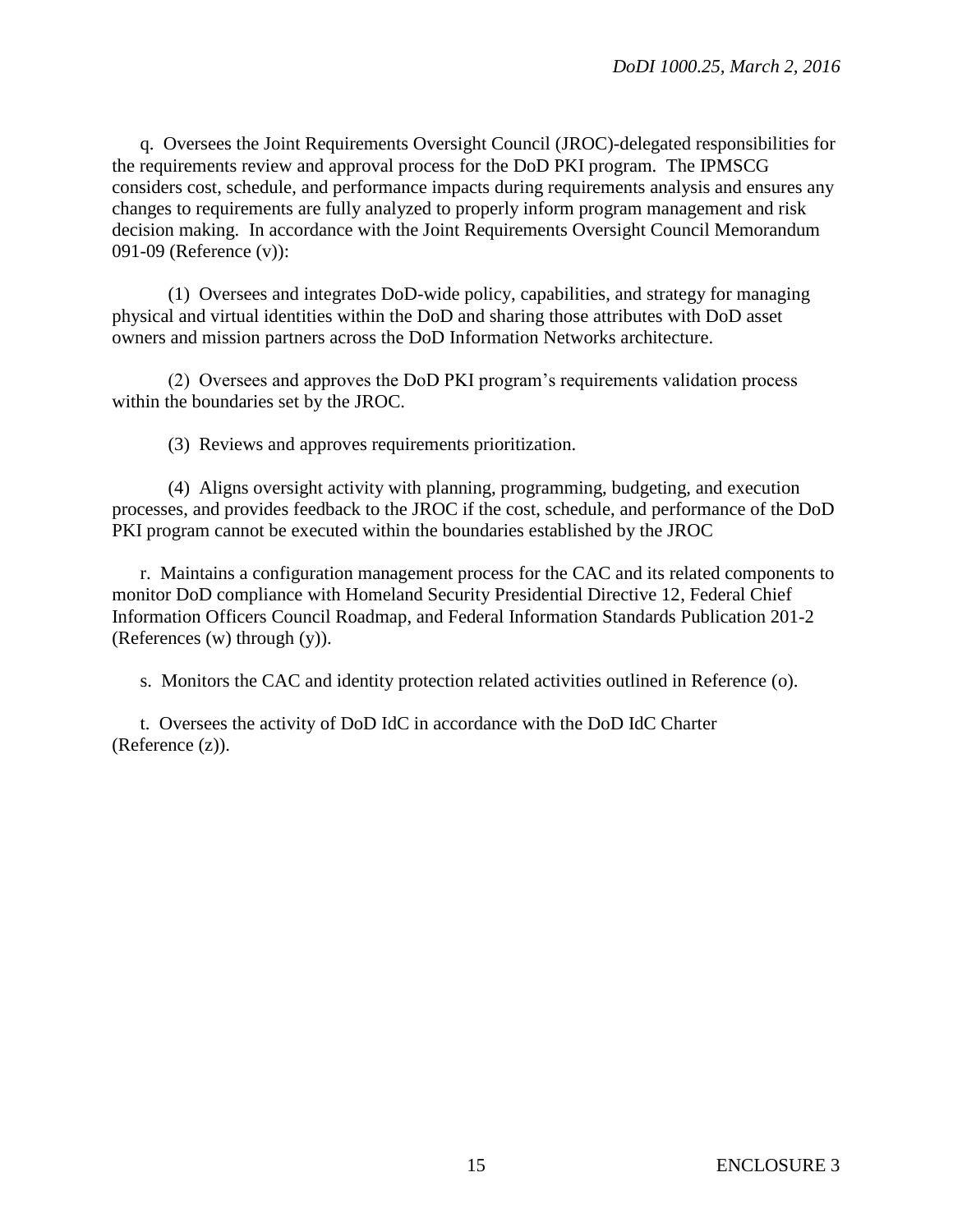q. Oversees the Joint Requirements Oversight Council (JROC)-delegated responsibilities for the requirements review and approval process for the DoD PKI program. The IPMSCG considers cost, schedule, and performance impacts during requirements analysis and ensures any changes to requirements are fully analyzed to properly inform program management and risk decision making. In accordance with the Joint Requirements Oversight Council Memorandum 091-09 (Reference (v)):

(1) Oversees and integrates DoD-wide policy, capabilities, and strategy for managing physical and virtual identities within the DoD and sharing those attributes with DoD asset owners and mission partners across the DoD Information Networks architecture.

(2) Oversees and approves the DoD PKI program's requirements validation process within the boundaries set by the JROC.

(3) Reviews and approves requirements prioritization.

(4) Aligns oversight activity with planning, programming, budgeting, and execution processes, and provides feedback to the JROC if the cost, schedule, and performance of the DoD PKI program cannot be executed within the boundaries established by the JROC

r. Maintains a configuration management process for the CAC and its related components to monitor DoD compliance with Homeland Security Presidential Directive 12, Federal Chief Information Officers Council Roadmap, and Federal Information Standards Publication 201-2 (References (w) through (y)).

s. Monitors the CAC and identity protection related activities outlined in Reference (o).

t. Oversees the activity of DoD IdC in accordance with the DoD IdC Charter (Reference (z)).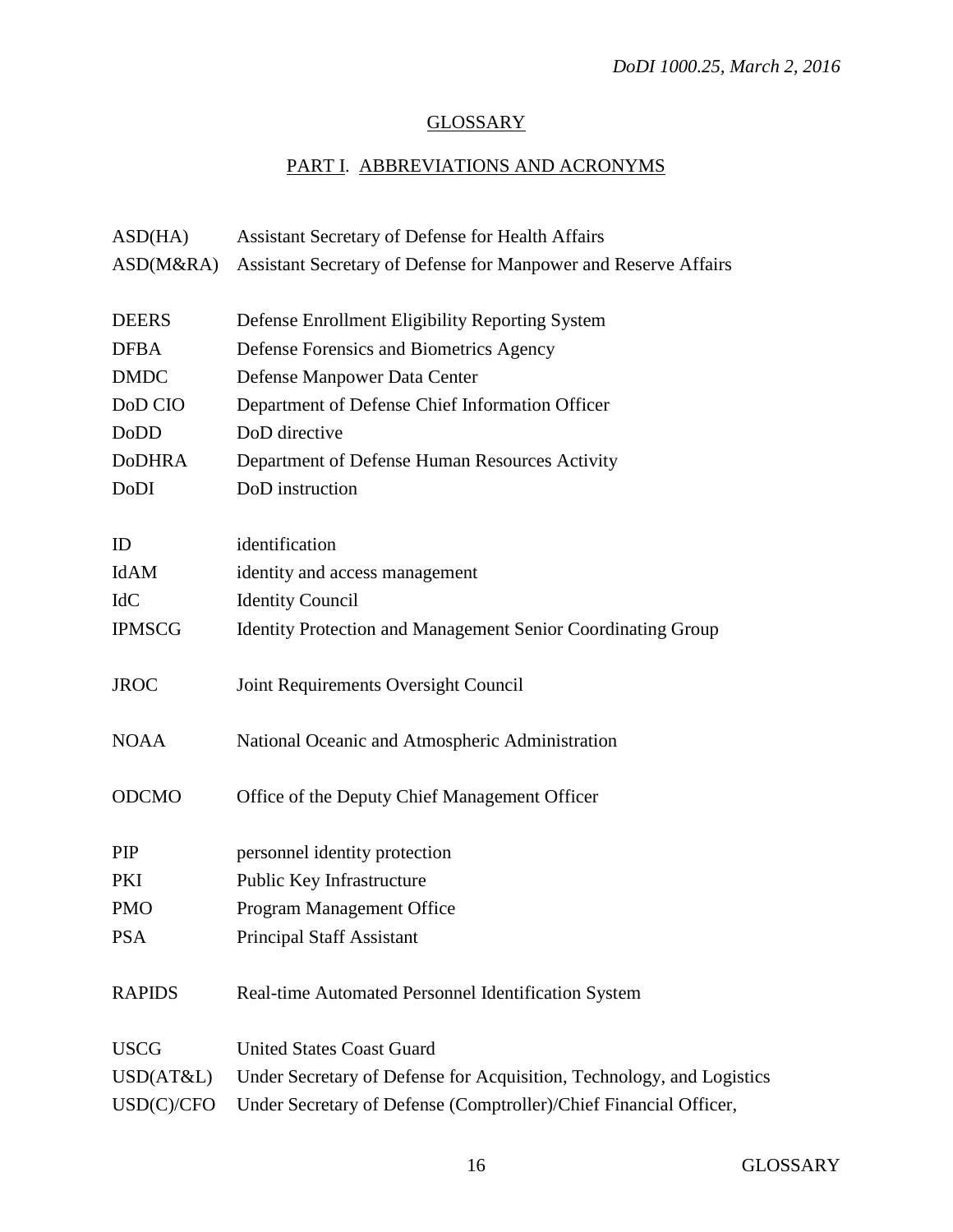# **GLOSSARY**

# PART I. ABBREVIATIONS AND ACRONYMS

| ASD(HA)       | Assistant Secretary of Defense for Health Affairs                     |
|---------------|-----------------------------------------------------------------------|
| ASD(M&RA)     | Assistant Secretary of Defense for Manpower and Reserve Affairs       |
| <b>DEERS</b>  | Defense Enrollment Eligibility Reporting System                       |
| <b>DFBA</b>   | Defense Forensics and Biometrics Agency                               |
| <b>DMDC</b>   | Defense Manpower Data Center                                          |
| DoD CIO       | Department of Defense Chief Information Officer                       |
| <b>DoDD</b>   | DoD directive                                                         |
| <b>DoDHRA</b> | Department of Defense Human Resources Activity                        |
| DoDI          | DoD instruction                                                       |
| ID            | identification                                                        |
| IdAM          | identity and access management                                        |
| <b>IdC</b>    | <b>Identity Council</b>                                               |
| <b>IPMSCG</b> | <b>Identity Protection and Management Senior Coordinating Group</b>   |
| <b>JROC</b>   | Joint Requirements Oversight Council                                  |
| <b>NOAA</b>   | National Oceanic and Atmospheric Administration                       |
| <b>ODCMO</b>  | Office of the Deputy Chief Management Officer                         |
| PIP           | personnel identity protection                                         |
| PKI           | Public Key Infrastructure                                             |
| <b>PMO</b>    | Program Management Office                                             |
| <b>PSA</b>    | <b>Principal Staff Assistant</b>                                      |
| <b>RAPIDS</b> | Real-time Automated Personnel Identification System                   |
| <b>USCG</b>   | <b>United States Coast Guard</b>                                      |
| USD(AT&L)     | Under Secretary of Defense for Acquisition, Technology, and Logistics |
| USD(C)/CFO    | Under Secretary of Defense (Comptroller)/Chief Financial Officer,     |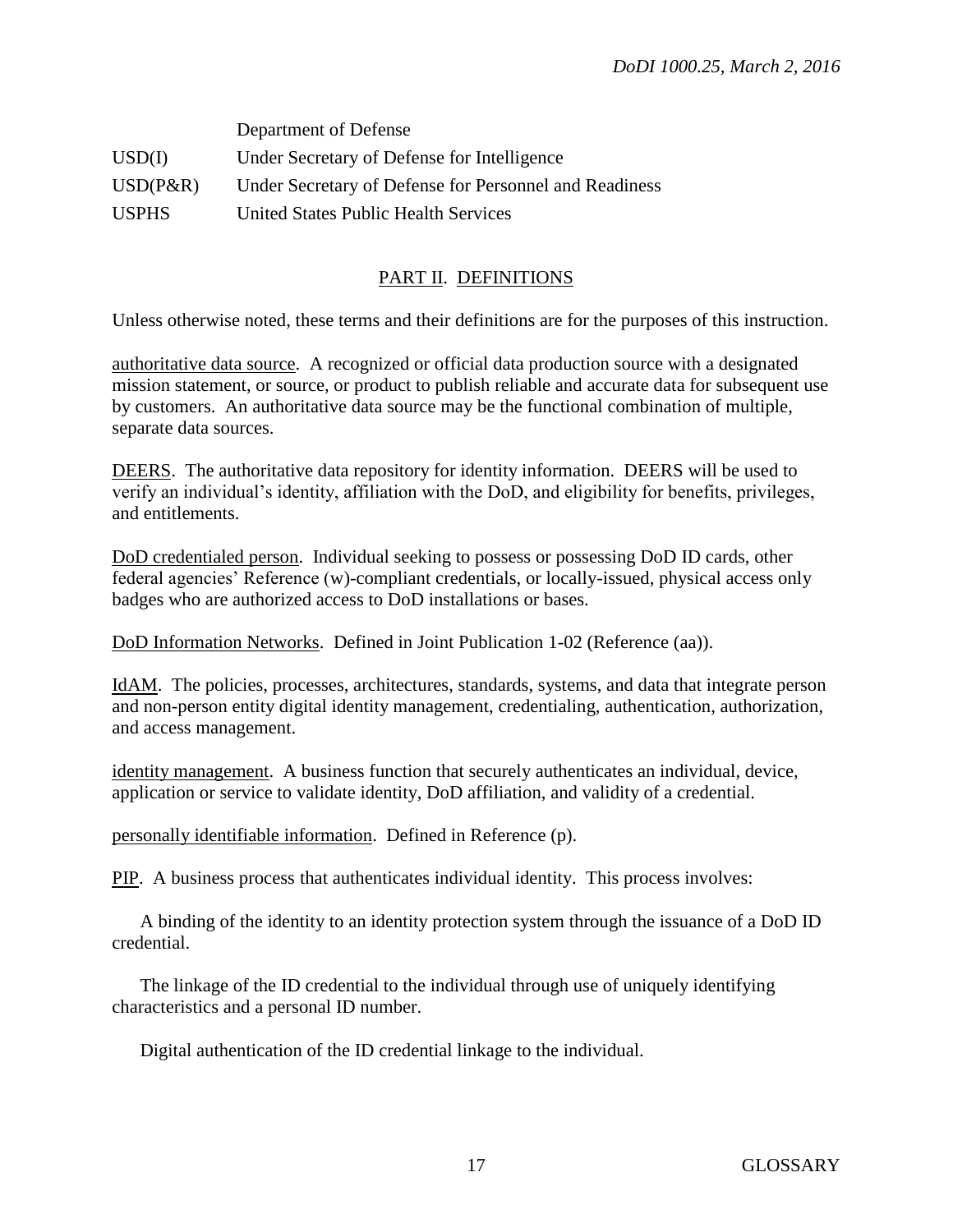|              | Department of Defense                                  |
|--------------|--------------------------------------------------------|
| USD(I)       | Under Secretary of Defense for Intelligence            |
| $USD(P\&R)$  | Under Secretary of Defense for Personnel and Readiness |
| <b>USPHS</b> | United States Public Health Services                   |

# PART II. DEFINITIONS

Unless otherwise noted, these terms and their definitions are for the purposes of this instruction.

authoritative data source. A recognized or official data production source with a designated mission statement, or source, or product to publish reliable and accurate data for subsequent use by customers. An authoritative data source may be the functional combination of multiple, separate data sources.

DEERS. The authoritative data repository for identity information. DEERS will be used to verify an individual's identity, affiliation with the DoD, and eligibility for benefits, privileges, and entitlements.

DoD credentialed person. Individual seeking to possess or possessing DoD ID cards, other federal agencies' Reference (w)-compliant credentials, or locally-issued, physical access only badges who are authorized access to DoD installations or bases.

DoD Information Networks. Defined in Joint Publication 1-02 (Reference (aa)).

IdAM. The policies, processes, architectures, standards, systems, and data that integrate person and non-person entity digital identity management, credentialing, authentication, authorization, and access management.

identity management. A business function that securely authenticates an individual, device, application or service to validate identity, DoD affiliation, and validity of a credential.

personally identifiable information. Defined in Reference (p).

PIP. A business process that authenticates individual identity. This process involves:

A binding of the identity to an identity protection system through the issuance of a DoD ID credential.

The linkage of the ID credential to the individual through use of uniquely identifying characteristics and a personal ID number.

Digital authentication of the ID credential linkage to the individual.